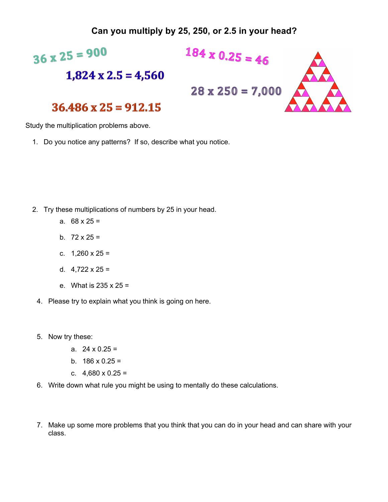## **Can you multiply by 25, 250, or 2.5 in your head?**



Study the multiplication problems above.

1. Do you notice any patterns? If so, describe what you notice.

- 2. Try these multiplications of numbers by 25 in your head.
	- a.  $68 \times 25 =$
	- b.  $72 \times 25 =$
	- c.  $1,260 \times 25 =$
	- d.  $4,722 \times 25 =$
	- e. What is 235 x 25 =
	- 4. Please try to explain what you think is going on here.
	- 5. Now try these:
		- a.  $24 \times 0.25 =$
		- b.  $186 \times 0.25 =$
		- c.  $4,680 \times 0.25 =$
	- 6. Write down what rule you might be using to mentally do these calculations.
	- 7. Make up some more problems that you think that you can do in your head and can share with your class.